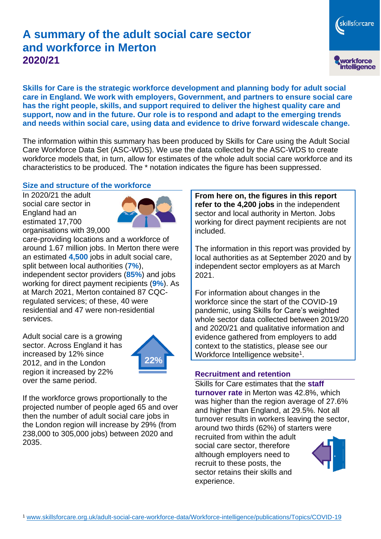# **A summary of the adult social care sector and workforce in Merton 2020/21**

skillsforcare workforce<br>intelligence

**Skills for Care is the strategic workforce development and planning body for adult social care in England. We work with employers, Government, and partners to ensure social care has the right people, skills, and support required to deliver the highest quality care and support, now and in the future. Our role is to respond and adapt to the emerging trends and needs within social care, using data and evidence to drive forward widescale change.**

The information within this summary has been produced by Skills for Care using the Adult Social Care Workforce Data Set (ASC-WDS). We use the data collected by the ASC-WDS to create workforce models that, in turn, allow for estimates of the whole adult social care workforce and its characteristics to be produced. The \* notation indicates the figure has been suppressed.

#### **Size and structure of the workforce**

In 2020/21 the adult social care sector in England had an estimated 17,700 organisations with 39,000



care-providing locations and a workforce of around 1.67 million jobs. In Merton there were an estimated **4,500** jobs in adult social care, split between local authorities (**7%**), independent sector providers (**85%**) and jobs working for direct payment recipients (**9%**). As at March 2021, Merton contained 87 CQCregulated services; of these, 40 were residential and 47 were non-residential services.

Adult social care is a growing sector. Across England it has increased by 12% since 2012, and in the London region it increased by 22% over the same period.



If the workforce grows proportionally to the projected number of people aged 65 and over then the number of adult social care jobs in the London region will increase by 29% (from 238,000 to 305,000 jobs) between 2020 and 2035.

**From here on, the figures in this report refer to the 4,200 jobs** in the independent sector and local authority in Merton. Jobs working for direct payment recipients are not included.

The information in this report was provided by local authorities as at September 2020 and by independent sector employers as at March 2021.

For information about changes in the workforce since the start of the COVID-19 pandemic, using Skills for Care's weighted whole sector data collected between 2019/20 and 2020/21 and qualitative information and evidence gathered from employers to add context to the statistics, please see our Workforce Intelligence website<sup>1</sup>.

#### **Recruitment and retention**

Skills for Care estimates that the **staff turnover rate** in Merton was 42.8%, which was higher than the region average of 27.6% and higher than England, at 29.5%. Not all turnover results in workers leaving the sector, around two thirds (62%) of starters were recruited from within the adult social care sector, therefore although employers need to recruit to these posts, the sector retains their skills and experience.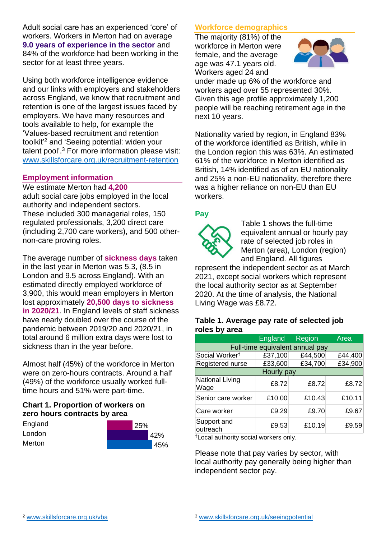Adult social care has an experienced 'core' of workers. Workers in Merton had on average **9.0 years of experience in the sector** and 84% of the workforce had been working in the sector for at least three years.

Using both workforce intelligence evidence and our links with employers and stakeholders across England, we know that recruitment and retention is one of the largest issues faced by employers. We have many resources and tools available to help, for example the 'Values-based recruitment and retention toolkit'<sup>2</sup> and 'Seeing potential: widen your talent pool'. <sup>3</sup> For more information please visit: [www.skillsforcare.org.uk/recruitment-retention](http://www.skillsforcare.org.uk/recruitment-retention)

#### **Employment information**

We estimate Merton had **4,200** adult social care jobs employed in the local authority and independent sectors. These included 300 managerial roles, 150 regulated professionals, 3,200 direct care (including 2,700 care workers), and 500 othernon-care proving roles.

The average number of **sickness days** taken in the last year in Merton was 5.3, (8.5 in London and 9.5 across England). With an estimated directly employed workforce of 3,900, this would mean employers in Merton lost approximately **20,500 days to sickness in 2020/21**. In England levels of staff sickness have nearly doubled over the course of the pandemic between 2019/20 and 2020/21, in total around 6 million extra days were lost to sickness than in the year before.

Almost half (45%) of the workforce in Merton were on zero-hours contracts. Around a half (49%) of the workforce usually worked fulltime hours and 51% were part-time.

### **Chart 1. Proportion of workers on zero hours contracts by area**

| England | 25% |  |
|---------|-----|--|
| London  | 42% |  |
| Merton  | 45% |  |

### **Workforce demographics**

The majority (81%) of the workforce in Merton were female, and the average age was 47.1 years old. Workers aged 24 and



under made up 6% of the workforce and workers aged over 55 represented 30%. Given this age profile approximately 1,200 people will be reaching retirement age in the next 10 years.

Nationality varied by region, in England 83% of the workforce identified as British, while in the London region this was 63%. An estimated 61% of the workforce in Merton identified as British, 14% identified as of an EU nationality and 25% a non-EU nationality, therefore there was a higher reliance on non-EU than EU workers.

### **Pay**



Table 1 shows the full-time equivalent annual or hourly pay rate of selected job roles in Merton (area), London (region) and England. All figures

represent the independent sector as at March 2021, except social workers which represent the local authority sector as at September 2020. At the time of analysis, the National Living Wage was £8.72.

#### **Table 1. Average pay rate of selected job roles by area**

|                                 | <b>England</b> | <b>Region</b> | Area    |  |  |
|---------------------------------|----------------|---------------|---------|--|--|
| Full-time equivalent annual pay |                |               |         |  |  |
| Social Worker <sup>t</sup>      | £37,100        | £44,500       | £44,400 |  |  |
| Registered nurse                | £33,600        | £34,700       | £34,900 |  |  |
| Hourly pay                      |                |               |         |  |  |
| National Living<br>Wage         | £8.72          | £8.72         | £8.72   |  |  |
| Senior care worker              | £10.00         | £10.43        | £10.11  |  |  |
| Care worker                     | £9.29          | £9.70         | £9.67   |  |  |
| Support and<br>outreach         | £9.53          | £10.19        | £9.59   |  |  |

†Local authority social workers only.

Please note that pay varies by sector, with local authority pay generally being higher than independent sector pay.